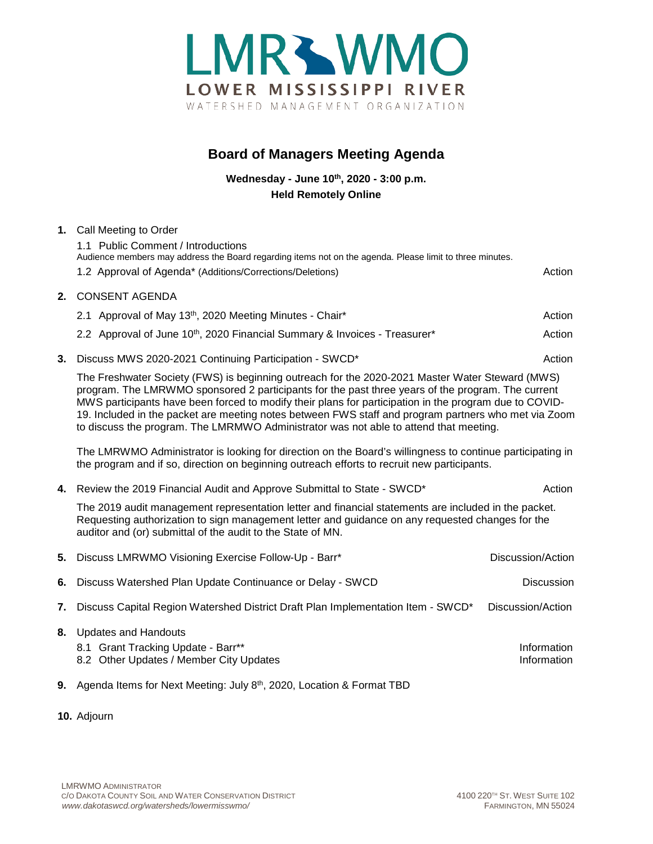

## **Board of Managers Meeting Agenda**

**Wednesday - June 10th, 2020 - 3:00 p.m. Held Remotely Online**

## **1.** Call Meeting to Order 1.1 Public Comment / Introductions Audience members may address the Board regarding items not on the agenda. Please limit to three minutes. 1.2 Approval of Agenda\* (Additions/Corrections/Deletions) Action **2.** CONSENT AGENDA 2.1 Approval of May 13<sup>th</sup>, 2020 Meeting Minutes - Chair\* Action Action Action Action 2.2 Approval of June 10<sup>th</sup>, 2020 Financial Summary & Invoices - Treasurer\* Action **3.** Discuss MWS 2020-2021 Continuing Participation - SWCD<sup>\*</sup> Action Action The Freshwater Society (FWS) is beginning outreach for the 2020-2021 Master Water Steward (MWS) program. The LMRWMO sponsored 2 participants for the past three years of the program. The current MWS participants have been forced to modify their plans for participation in the program due to COVID-19. Included in the packet are meeting notes between FWS staff and program partners who met via Zoom to discuss the program. The LMRMWO Administrator was not able to attend that meeting. The LMRWMO Administrator is looking for direction on the Board's willingness to continue participating in the program and if so, direction on beginning outreach efforts to recruit new participants. **4.** Review the 2019 Financial Audit and Approve Submittal to State - SWCD<sup>\*</sup> Action The 2019 audit management representation letter and financial statements are included in the packet. Requesting authorization to sign management letter and guidance on any requested changes for the auditor and (or) submittal of the audit to the State of MN. **5.** Discuss LMRWMO Visioning Exercise Follow-Up - Barr\* **Discussion/Action** Discussion/Action **6.** Discuss Watershed Plan Update Continuance or Delay - SWCD Discussion **7.** Discuss Capital Region Watershed District Draft Plan Implementation Item - SWCD\* Discussion/Action **8.** Updates and Handouts 8.1 Grant Tracking Update - Barr<sup>\*\*</sup> Information and the state of the state of the state of the state of the state of the state of the state of the state of the state of the state of the state of the state of the state of 8.2 Other Updates / Member City Updates **Information** and *S* and *S* and *S* and *S* and *S* and *S* and *S* and *S* and *S* and *S* and *S* and *S* and *S* and *S* and *S* and *S* and *S* and *S* and *S* and *S* and *S* **9.** Agenda Items for Next Meeting: July 8th, 2020, Location & Format TBD

**10.** Adjourn